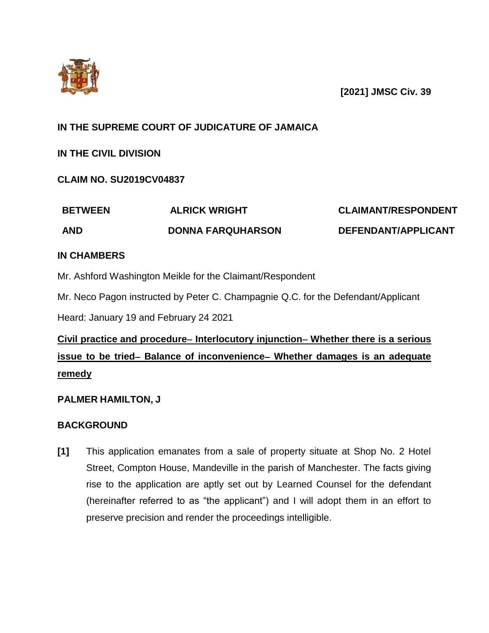

### **[2021] JMSC Civ. 39**

### **IN THE SUPREME COURT OF JUDICATURE OF JAMAICA**

### **IN THE CIVIL DIVISION**

### **CLAIM NO. SU2019CV04837**

| <b>BETWEEN</b> | <b>ALRICK WRIGHT</b>     | <b>CLAIMANT/RESPONDENT</b> |
|----------------|--------------------------|----------------------------|
| <b>AND</b>     | <b>DONNA FARQUHARSON</b> | DEFENDANT/APPLICANT        |

### **IN CHAMBERS**

Mr. Ashford Washington Meikle for the Claimant/Respondent

Mr. Neco Pagon instructed by Peter C. Champagnie Q.C. for the Defendant/Applicant

Heard: January 19 and February 24 2021

# **Civil practice and procedure– Interlocutory injunction– Whether there is a serious issue to be tried– Balance of inconvenience– Whether damages is an adequate remedy**

### **PALMER HAMILTON, J**

### **BACKGROUND**

**[1]** This application emanates from a sale of property situate at Shop No. 2 Hotel Street, Compton House, Mandeville in the parish of Manchester. The facts giving rise to the application are aptly set out by Learned Counsel for the defendant (hereinafter referred to as "the applicant") and I will adopt them in an effort to preserve precision and render the proceedings intelligible.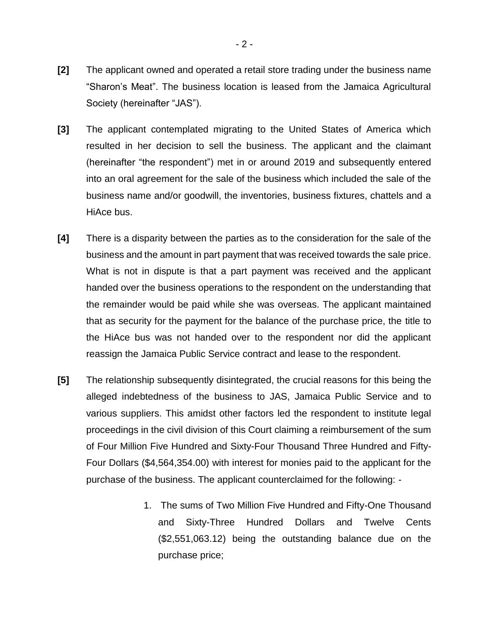- **[2]** The applicant owned and operated a retail store trading under the business name "Sharon's Meat". The business location is leased from the Jamaica Agricultural Society (hereinafter "JAS").
- **[3]** The applicant contemplated migrating to the United States of America which resulted in her decision to sell the business. The applicant and the claimant (hereinafter "the respondent") met in or around 2019 and subsequently entered into an oral agreement for the sale of the business which included the sale of the business name and/or goodwill, the inventories, business fixtures, chattels and a HiAce bus.
- **[4]** There is a disparity between the parties as to the consideration for the sale of the business and the amount in part payment that was received towards the sale price. What is not in dispute is that a part payment was received and the applicant handed over the business operations to the respondent on the understanding that the remainder would be paid while she was overseas. The applicant maintained that as security for the payment for the balance of the purchase price, the title to the HiAce bus was not handed over to the respondent nor did the applicant reassign the Jamaica Public Service contract and lease to the respondent.
- **[5]** The relationship subsequently disintegrated, the crucial reasons for this being the alleged indebtedness of the business to JAS, Jamaica Public Service and to various suppliers. This amidst other factors led the respondent to institute legal proceedings in the civil division of this Court claiming a reimbursement of the sum of Four Million Five Hundred and Sixty-Four Thousand Three Hundred and Fifty-Four Dollars (\$4,564,354.00) with interest for monies paid to the applicant for the purchase of the business. The applicant counterclaimed for the following: -
	- 1. The sums of Two Million Five Hundred and Fifty-One Thousand and Sixty-Three Hundred Dollars and Twelve Cents (\$2,551,063.12) being the outstanding balance due on the purchase price;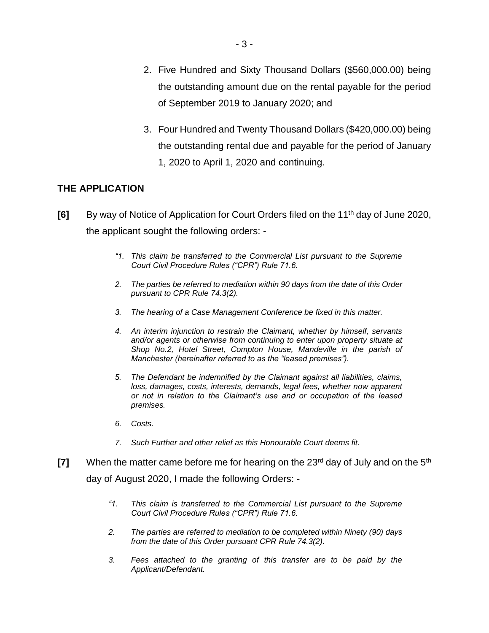- 2. Five Hundred and Sixty Thousand Dollars (\$560,000.00) being the outstanding amount due on the rental payable for the period of September 2019 to January 2020; and
- 3. Four Hundred and Twenty Thousand Dollars (\$420,000.00) being the outstanding rental due and payable for the period of January 1, 2020 to April 1, 2020 and continuing.

### **THE APPLICATION**

- **[6]** By way of Notice of Application for Court Orders filed on the 11<sup>th</sup> day of June 2020, the applicant sought the following orders: -
	- *"1. This claim be transferred to the Commercial List pursuant to the Supreme Court Civil Procedure Rules ("CPR") Rule 71.6.*
	- *2. The parties be referred to mediation within 90 days from the date of this Order pursuant to CPR Rule 74.3(2).*
	- *3. The hearing of a Case Management Conference be fixed in this matter.*
	- *4. An interim injunction to restrain the Claimant, whether by himself, servants and/or agents or otherwise from continuing to enter upon property situate at Shop No.2, Hotel Street, Compton House, Mandeville in the parish of Manchester (hereinafter referred to as the "leased premises").*
	- *5. The Defendant be indemnified by the Claimant against all liabilities, claims, loss, damages, costs, interests, demands, legal fees, whether now apparent or not in relation to the Claimant's use and or occupation of the leased premises.*
	- *6. Costs.*
	- *7. Such Further and other relief as this Honourable Court deems fit.*
- **[7]** When the matter came before me for hearing on the 23<sup>rd</sup> day of July and on the 5<sup>th</sup> day of August 2020, I made the following Orders: -
	- *"1. This claim is transferred to the Commercial List pursuant to the Supreme Court Civil Procedure Rules ("CPR") Rule 71.6.*
	- *2. The parties are referred to mediation to be completed within Ninety (90) days from the date of this Order pursuant CPR Rule 74.3(2).*
	- *3. Fees attached to the granting of this transfer are to be paid by the Applicant/Defendant.*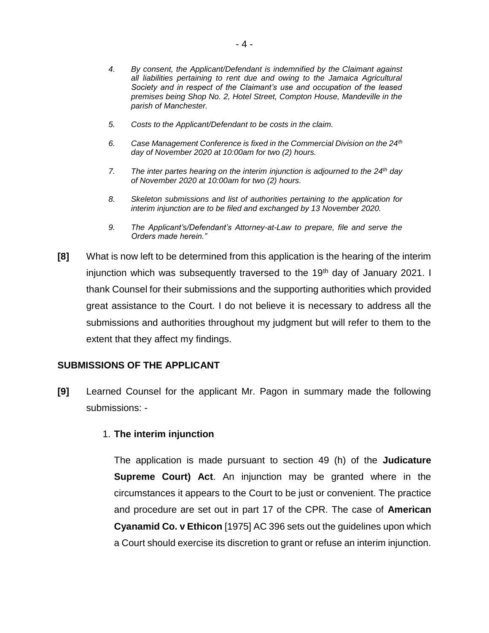- *4. By consent, the Applicant/Defendant is indemnified by the Claimant against all liabilities pertaining to rent due and owing to the Jamaica Agricultural Society and in respect of the Claimant's use and occupation of the leased premises being Shop No. 2, Hotel Street, Compton House, Mandeville in the parish of Manchester.*
- *5. Costs to the Applicant/Defendant to be costs in the claim.*
- *6. Case Management Conference is fixed in the Commercial Division on the 24th day of November 2020 at 10:00am for two (2) hours.*
- *7. The inter partes hearing on the interim injunction is adjourned to the 24th day of November 2020 at 10:00am for two (2) hours.*
- *8. Skeleton submissions and list of authorities pertaining to the application for interim injunction are to be filed and exchanged by 13 November 2020.*
- *9. The Applicant's/Defendant's Attorney-at-Law to prepare, file and serve the Orders made herein."*
- **[8]** What is now left to be determined from this application is the hearing of the interim injunction which was subsequently traversed to the 19<sup>th</sup> day of January 2021. I thank Counsel for their submissions and the supporting authorities which provided great assistance to the Court. I do not believe it is necessary to address all the submissions and authorities throughout my judgment but will refer to them to the extent that they affect my findings.

#### **SUBMISSIONS OF THE APPLICANT**

**[9]** Learned Counsel for the applicant Mr. Pagon in summary made the following submissions: -

#### 1. **The interim injunction**

The application is made pursuant to section 49 (h) of the **Judicature Supreme Court) Act**. An injunction may be granted where in the circumstances it appears to the Court to be just or convenient. The practice and procedure are set out in part 17 of the CPR. The case of **American Cyanamid Co. v Ethicon** [1975] AC 396 sets out the guidelines upon which a Court should exercise its discretion to grant or refuse an interim injunction.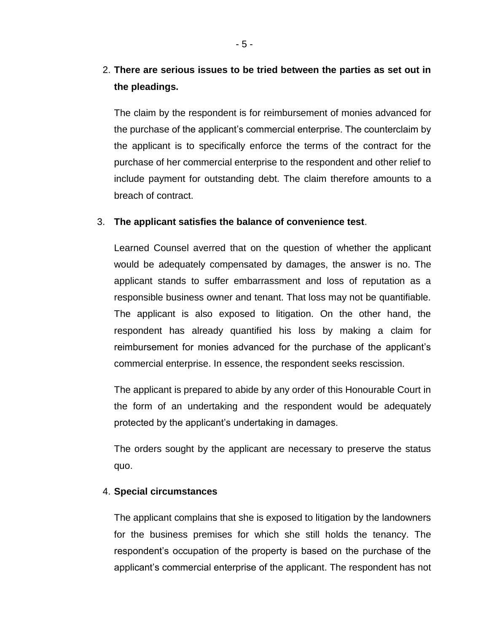## 2. **There are serious issues to be tried between the parties as set out in the pleadings.**

The claim by the respondent is for reimbursement of monies advanced for the purchase of the applicant's commercial enterprise. The counterclaim by the applicant is to specifically enforce the terms of the contract for the purchase of her commercial enterprise to the respondent and other relief to include payment for outstanding debt. The claim therefore amounts to a breach of contract.

#### 3. **The applicant satisfies the balance of convenience test**.

Learned Counsel averred that on the question of whether the applicant would be adequately compensated by damages, the answer is no. The applicant stands to suffer embarrassment and loss of reputation as a responsible business owner and tenant. That loss may not be quantifiable. The applicant is also exposed to litigation. On the other hand, the respondent has already quantified his loss by making a claim for reimbursement for monies advanced for the purchase of the applicant's commercial enterprise. In essence, the respondent seeks rescission.

The applicant is prepared to abide by any order of this Honourable Court in the form of an undertaking and the respondent would be adequately protected by the applicant's undertaking in damages.

The orders sought by the applicant are necessary to preserve the status quo.

#### 4. **Special circumstances**

The applicant complains that she is exposed to litigation by the landowners for the business premises for which she still holds the tenancy. The respondent's occupation of the property is based on the purchase of the applicant's commercial enterprise of the applicant. The respondent has not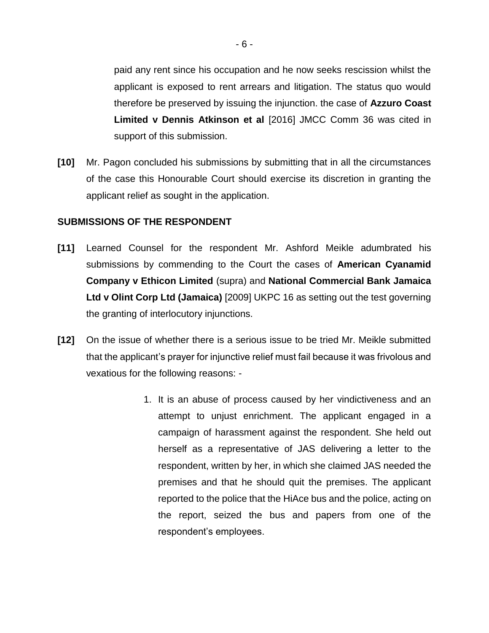paid any rent since his occupation and he now seeks rescission whilst the applicant is exposed to rent arrears and litigation. The status quo would therefore be preserved by issuing the injunction. the case of **Azzuro Coast Limited v Dennis Atkinson et al** [2016] JMCC Comm 36 was cited in support of this submission.

**[10]** Mr. Pagon concluded his submissions by submitting that in all the circumstances of the case this Honourable Court should exercise its discretion in granting the applicant relief as sought in the application.

#### **SUBMISSIONS OF THE RESPONDENT**

- **[11]** Learned Counsel for the respondent Mr. Ashford Meikle adumbrated his submissions by commending to the Court the cases of **American Cyanamid Company v Ethicon Limited** (supra) and **National Commercial Bank Jamaica Ltd v Olint Corp Ltd (Jamaica)** [2009] UKPC 16 as setting out the test governing the granting of interlocutory injunctions.
- **[12]** On the issue of whether there is a serious issue to be tried Mr. Meikle submitted that the applicant's prayer for injunctive relief must fail because it was frivolous and vexatious for the following reasons: -
	- 1. It is an abuse of process caused by her vindictiveness and an attempt to unjust enrichment. The applicant engaged in a campaign of harassment against the respondent. She held out herself as a representative of JAS delivering a letter to the respondent, written by her, in which she claimed JAS needed the premises and that he should quit the premises. The applicant reported to the police that the HiAce bus and the police, acting on the report, seized the bus and papers from one of the respondent's employees.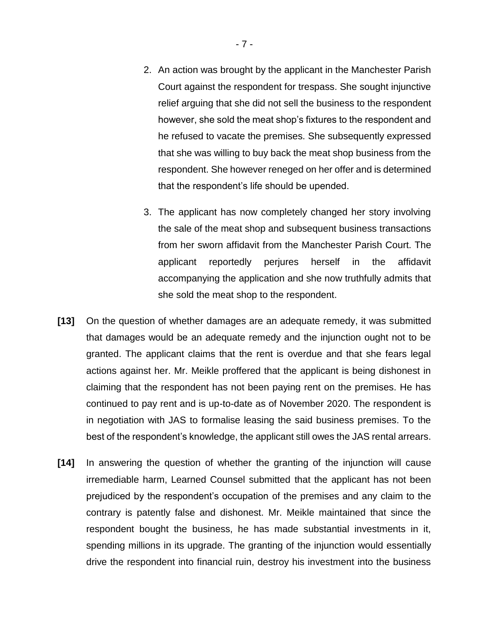- 2. An action was brought by the applicant in the Manchester Parish Court against the respondent for trespass. She sought injunctive relief arguing that she did not sell the business to the respondent however, she sold the meat shop's fixtures to the respondent and he refused to vacate the premises. She subsequently expressed that she was willing to buy back the meat shop business from the respondent. She however reneged on her offer and is determined that the respondent's life should be upended.
- 3. The applicant has now completely changed her story involving the sale of the meat shop and subsequent business transactions from her sworn affidavit from the Manchester Parish Court. The applicant reportedly perjures herself in the affidavit accompanying the application and she now truthfully admits that she sold the meat shop to the respondent.
- **[13]** On the question of whether damages are an adequate remedy, it was submitted that damages would be an adequate remedy and the injunction ought not to be granted. The applicant claims that the rent is overdue and that she fears legal actions against her. Mr. Meikle proffered that the applicant is being dishonest in claiming that the respondent has not been paying rent on the premises. He has continued to pay rent and is up-to-date as of November 2020. The respondent is in negotiation with JAS to formalise leasing the said business premises. To the best of the respondent's knowledge, the applicant still owes the JAS rental arrears.
- **[14]** In answering the question of whether the granting of the injunction will cause irremediable harm, Learned Counsel submitted that the applicant has not been prejudiced by the respondent's occupation of the premises and any claim to the contrary is patently false and dishonest. Mr. Meikle maintained that since the respondent bought the business, he has made substantial investments in it, spending millions in its upgrade. The granting of the injunction would essentially drive the respondent into financial ruin, destroy his investment into the business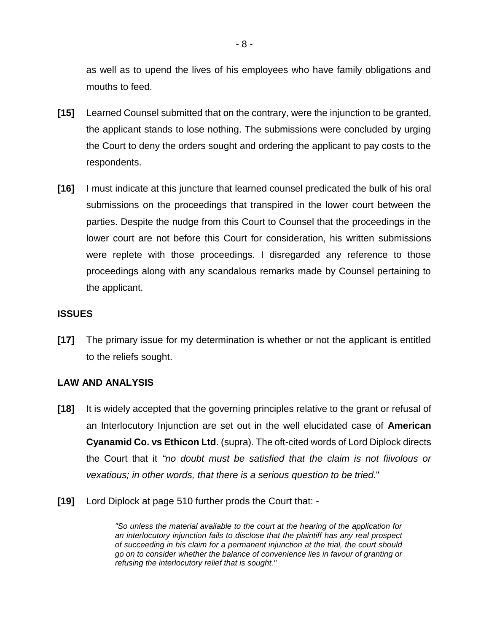as well as to upend the lives of his employees who have family obligations and mouths to feed.

- **[15]** Learned Counsel submitted that on the contrary, were the injunction to be granted, the applicant stands to lose nothing. The submissions were concluded by urging the Court to deny the orders sought and ordering the applicant to pay costs to the respondents.
- **[16]** I must indicate at this juncture that learned counsel predicated the bulk of his oral submissions on the proceedings that transpired in the lower court between the parties. Despite the nudge from this Court to Counsel that the proceedings in the lower court are not before this Court for consideration, his written submissions were replete with those proceedings. I disregarded any reference to those proceedings along with any scandalous remarks made by Counsel pertaining to the applicant.

#### **ISSUES**

**[17]** The primary issue for my determination is whether or not the applicant is entitled to the reliefs sought.

#### **LAW AND ANALYSIS**

- **[18]** It is widely accepted that the governing principles relative to the grant or refusal of an Interlocutory Injunction are set out in the well elucidated case of **American Cyanamid Co. vs Ethicon Ltd**. (supra). The oft-cited words of Lord Diplock directs the Court that it *"no doubt must be satisfied that the claim is not fiivolous or vexatious; in other words, that there is a serious question to be tried.*"
- **[19]** Lord Diplock at page 510 further prods the Court that: -

*"So unless the material available to the court at the hearing of the application for an interlocutory injunction fails to disclose that the plaintiff has any real prospect of succeeding in his claim for a permanent injunction at the trial, the court should go on to consider whether the balance of convenience lies in favour of granting or refusing the interlocutory relief that is sought."*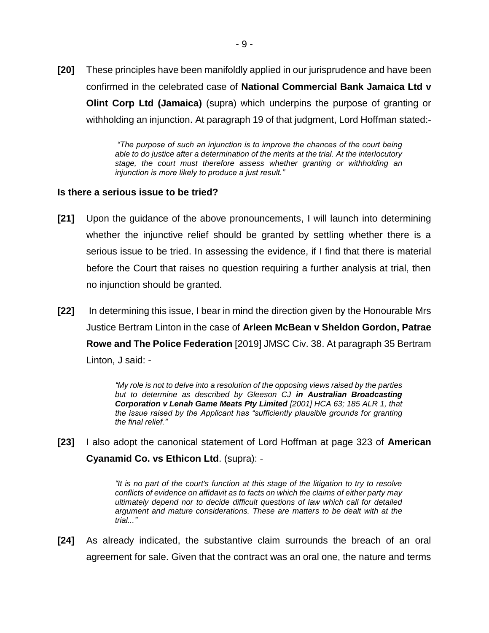**[20]** These principles have been manifoldly applied in our jurisprudence and have been confirmed in the celebrated case of **National Commercial Bank Jamaica Ltd v Olint Corp Ltd (Jamaica)** (supra) which underpins the purpose of granting or withholding an injunction. At paragraph 19 of that judgment, Lord Hoffman stated:-

> *"The purpose of such an injunction is to improve the chances of the court being able to do justice after a determination of the merits at the trial. At the interlocutory stage, the court must therefore assess whether granting or withholding an injunction is more likely to produce a just result."*

#### **Is there a serious issue to be tried?**

- **[21]** Upon the guidance of the above pronouncements, I will launch into determining whether the injunctive relief should be granted by settling whether there is a serious issue to be tried. In assessing the evidence, if I find that there is material before the Court that raises no question requiring a further analysis at trial, then no injunction should be granted.
- **[22]** In determining this issue, I bear in mind the direction given by the Honourable Mrs Justice Bertram Linton in the case of **Arleen McBean v Sheldon Gordon, Patrae Rowe and The Police Federation** [2019] JMSC Civ. 38. At paragraph 35 Bertram Linton, J said: -

*"My role is not to delve into a resolution of the opposing views raised by the parties but to determine as described by Gleeson CJ in Australian Broadcasting Corporation v Lenah Game Meats Pty Limited [2001] HCA 63; 185 ALR 1, that the issue raised by the Applicant has "sufficiently plausible grounds for granting the final relief."*

**[23]** I also adopt the canonical statement of Lord Hoffman at page 323 of **American Cyanamid Co. vs Ethicon Ltd**. (supra): -

> *"It is no part of the court's function at this stage of the litigation to try to resolve conflicts of evidence on affidavit as to facts on which the claims of either party may ultimately depend nor to decide difficult questions of law which call for detailed argument and mature considerations. These are matters to be dealt with at the trial..."*

**[24]** As already indicated, the substantive claim surrounds the breach of an oral agreement for sale. Given that the contract was an oral one, the nature and terms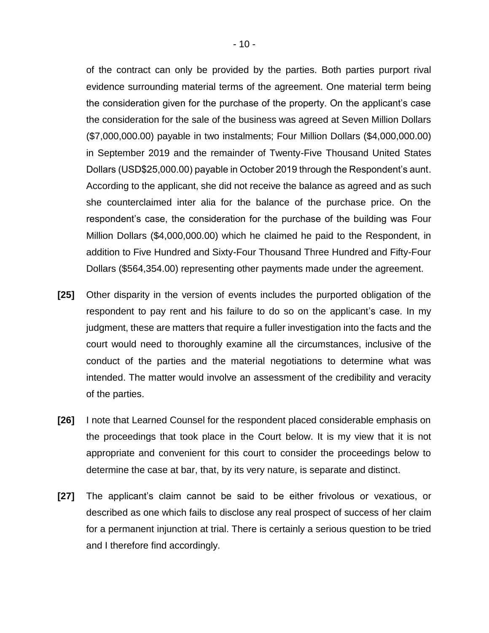of the contract can only be provided by the parties. Both parties purport rival evidence surrounding material terms of the agreement. One material term being the consideration given for the purchase of the property. On the applicant's case the consideration for the sale of the business was agreed at Seven Million Dollars (\$7,000,000.00) payable in two instalments; Four Million Dollars (\$4,000,000.00) in September 2019 and the remainder of Twenty-Five Thousand United States Dollars (USD\$25,000.00) payable in October 2019 through the Respondent's aunt. According to the applicant, she did not receive the balance as agreed and as such she counterclaimed inter alia for the balance of the purchase price. On the respondent's case, the consideration for the purchase of the building was Four Million Dollars (\$4,000,000.00) which he claimed he paid to the Respondent, in addition to Five Hundred and Sixty-Four Thousand Three Hundred and Fifty-Four Dollars (\$564,354.00) representing other payments made under the agreement.

- **[25]** Other disparity in the version of events includes the purported obligation of the respondent to pay rent and his failure to do so on the applicant's case. In my judgment, these are matters that require a fuller investigation into the facts and the court would need to thoroughly examine all the circumstances, inclusive of the conduct of the parties and the material negotiations to determine what was intended. The matter would involve an assessment of the credibility and veracity of the parties.
- **[26]** I note that Learned Counsel for the respondent placed considerable emphasis on the proceedings that took place in the Court below. It is my view that it is not appropriate and convenient for this court to consider the proceedings below to determine the case at bar, that, by its very nature, is separate and distinct.
- **[27]** The applicant's claim cannot be said to be either frivolous or vexatious, or described as one which fails to disclose any real prospect of success of her claim for a permanent injunction at trial. There is certainly a serious question to be tried and I therefore find accordingly.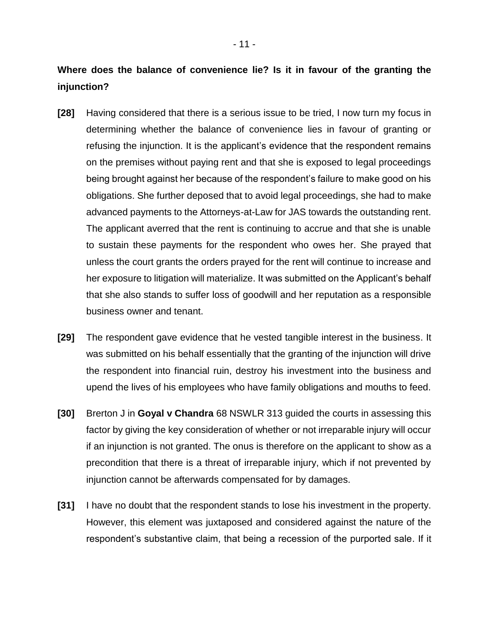**Where does the balance of convenience lie? Is it in favour of the granting the injunction?**

- **[28]** Having considered that there is a serious issue to be tried, I now turn my focus in determining whether the balance of convenience lies in favour of granting or refusing the injunction. It is the applicant's evidence that the respondent remains on the premises without paying rent and that she is exposed to legal proceedings being brought against her because of the respondent's failure to make good on his obligations. She further deposed that to avoid legal proceedings, she had to make advanced payments to the Attorneys-at-Law for JAS towards the outstanding rent. The applicant averred that the rent is continuing to accrue and that she is unable to sustain these payments for the respondent who owes her. She prayed that unless the court grants the orders prayed for the rent will continue to increase and her exposure to litigation will materialize. It was submitted on the Applicant's behalf that she also stands to suffer loss of goodwill and her reputation as a responsible business owner and tenant.
- **[29]** The respondent gave evidence that he vested tangible interest in the business. It was submitted on his behalf essentially that the granting of the injunction will drive the respondent into financial ruin, destroy his investment into the business and upend the lives of his employees who have family obligations and mouths to feed.
- **[30]** Brerton J in **Goyal v Chandra** 68 NSWLR 313 guided the courts in assessing this factor by giving the key consideration of whether or not irreparable injury will occur if an injunction is not granted. The onus is therefore on the applicant to show as a precondition that there is a threat of irreparable injury, which if not prevented by injunction cannot be afterwards compensated for by damages.
- **[31]** I have no doubt that the respondent stands to lose his investment in the property. However, this element was juxtaposed and considered against the nature of the respondent's substantive claim, that being a recession of the purported sale. If it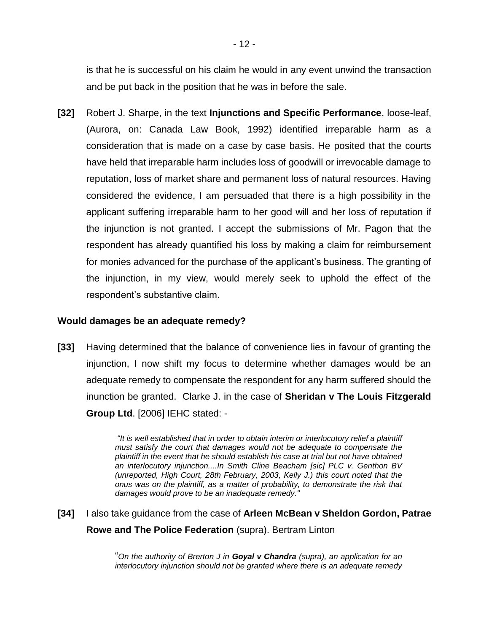is that he is successful on his claim he would in any event unwind the transaction and be put back in the position that he was in before the sale.

**[32]** Robert J. Sharpe, in the text **Injunctions and Specific Performance**, loose-leaf, (Aurora, on: Canada Law Book, 1992) identified irreparable harm as a consideration that is made on a case by case basis. He posited that the courts have held that irreparable harm includes loss of goodwill or irrevocable damage to reputation, loss of market share and permanent loss of natural resources. Having considered the evidence, I am persuaded that there is a high possibility in the applicant suffering irreparable harm to her good will and her loss of reputation if the injunction is not granted. I accept the submissions of Mr. Pagon that the respondent has already quantified his loss by making a claim for reimbursement for monies advanced for the purchase of the applicant's business. The granting of the injunction, in my view, would merely seek to uphold the effect of the respondent's substantive claim.

#### **Would damages be an adequate remedy?**

**[33]** Having determined that the balance of convenience lies in favour of granting the injunction, I now shift my focus to determine whether damages would be an adequate remedy to compensate the respondent for any harm suffered should the inunction be granted. Clarke J. in the case of **Sheridan v The Louis Fitzgerald Group Ltd**. [2006] IEHC stated: -

> *"It is well established that in order to obtain interim or interlocutory relief a plaintiff must satisfy the court that damages would not be adequate to compensate the plaintiff in the event that he should establish his case at trial but not have obtained an interlocutory injunction....In Smith Cline Beacham [sic] PLC v. Genthon BV (unreported, High Court, 28th February, 2003, Kelly J.) this court noted that the onus was on the plaintiff, as a matter of probability, to demonstrate the risk that damages would prove to be an inadequate remedy."*

**[34]** I also take guidance from the case of **Arleen McBean v Sheldon Gordon, Patrae Rowe and The Police Federation** (supra). Bertram Linton

> "*On the authority of Brerton J in Goyal v Chandra (supra), an application for an interlocutory injunction should not be granted where there is an adequate remedy*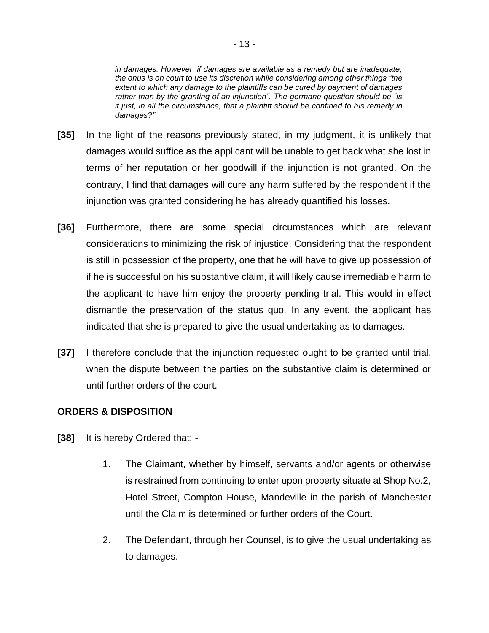*in damages. However, if damages are available as a remedy but are inadequate, the onus is on court to use its discretion while considering among other things "the extent to which any damage to the plaintiffs can be cured by payment of damages rather than by the granting of an injunction". The germane question should be "is it just, in all the circumstance, that a plaintiff should be confined to his remedy in damages?"*

- **[35]** In the light of the reasons previously stated, in my judgment, it is unlikely that damages would suffice as the applicant will be unable to get back what she lost in terms of her reputation or her goodwill if the injunction is not granted. On the contrary, I find that damages will cure any harm suffered by the respondent if the injunction was granted considering he has already quantified his losses.
- **[36]** Furthermore, there are some special circumstances which are relevant considerations to minimizing the risk of injustice. Considering that the respondent is still in possession of the property, one that he will have to give up possession of if he is successful on his substantive claim, it will likely cause irremediable harm to the applicant to have him enjoy the property pending trial. This would in effect dismantle the preservation of the status quo. In any event, the applicant has indicated that she is prepared to give the usual undertaking as to damages.
- **[37]** I therefore conclude that the injunction requested ought to be granted until trial, when the dispute between the parties on the substantive claim is determined or until further orders of the court.

#### **ORDERS & DISPOSITION**

- **[38]** It is hereby Ordered that:
	- 1. The Claimant, whether by himself, servants and/or agents or otherwise is restrained from continuing to enter upon property situate at Shop No.2, Hotel Street, Compton House, Mandeville in the parish of Manchester until the Claim is determined or further orders of the Court.
	- 2. The Defendant, through her Counsel, is to give the usual undertaking as to damages.